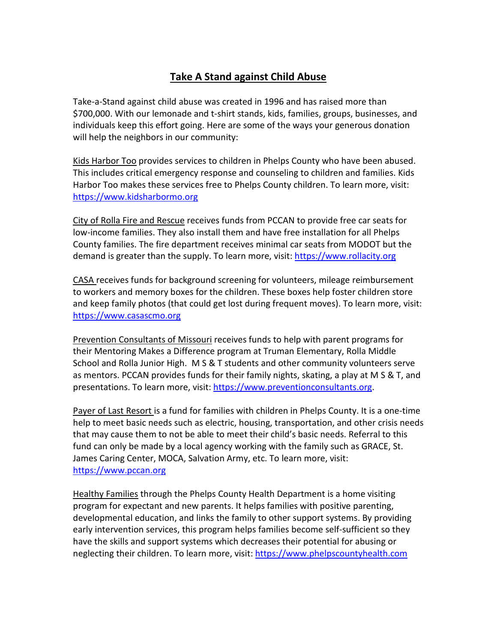## **Take A Stand against Child Abuse**

Take-a-Stand against child abuse was created in 1996 and has raised more than \$700,000. With our lemonade and t-shirt stands, kids, families, groups, businesses, and individuals keep this effort going. Here are some of the ways your generous donation will help the neighbors in our community:

Kids Harbor Too provides services to children in Phelps County who have been abused. This includes critical emergency response and counseling to children and families. Kids Harbor Too makes these services free to Phelps County children. To learn more, visit: [https://www.kidsharbormo.org](https://www.kidsharbormo.org)/)

City of Rolla Fire and Rescue receives funds from PCCAN to provide free car seats for low-income families. They also install them and have free installation for all Phelps County families. The fire department receives minimal car seats from MODOT but the demand is greater than the supply. To learn more, visit: [https://www.rollacity.org](https://www.rollacity.org/)

CASA receives funds for background screening for volunteers, mileage reimbursement to workers and memory boxes for the children. These boxes help foster children store and keep family photos (that could get lost during frequent moves). To learn more, visit: [https://www.casascmo.org](https://www.casascmo.org/)

Prevention Consultants of Missouri receives funds to help with parent programs for their Mentoring Makes a Difference program at Truman Elementary, Rolla Middle School and Rolla Junior High. M S & T students and other community volunteers serve as mentors. PCCAN provides funds for their family nights, skating, a play at M S & T, and presentations. To learn more, visit: [https://www.preventionconsultants.org.](https://www.preventionconsultants.org/)

Payer of Last Resort is a fund for families with children in Phelps County. It is a one-time help to meet basic needs such as electric, housing, transportation, and other crisis needs that may cause them to not be able to meet their child's basic needs. Referral to this fund can only be made by a local agency working with the family such as GRACE, St. James Caring Center, MOCA, Salvation Army, etc. To learn more, visit: [https://www.pccan.org](https://www.pccan.org/)

Healthy Families through the Phelps County Health Department is a home visiting program for expectant and new parents. It helps families with positive parenting, developmental education, and links the family to other support systems. By providing early intervention services, this program helps families become self-sufficient so they have the skills and support systems which decreases their potential for abusing or neglecting their children. To learn more, visit: [https://www.phelpscountyhealth.com](https://www.phelpscountyhealth.com/)